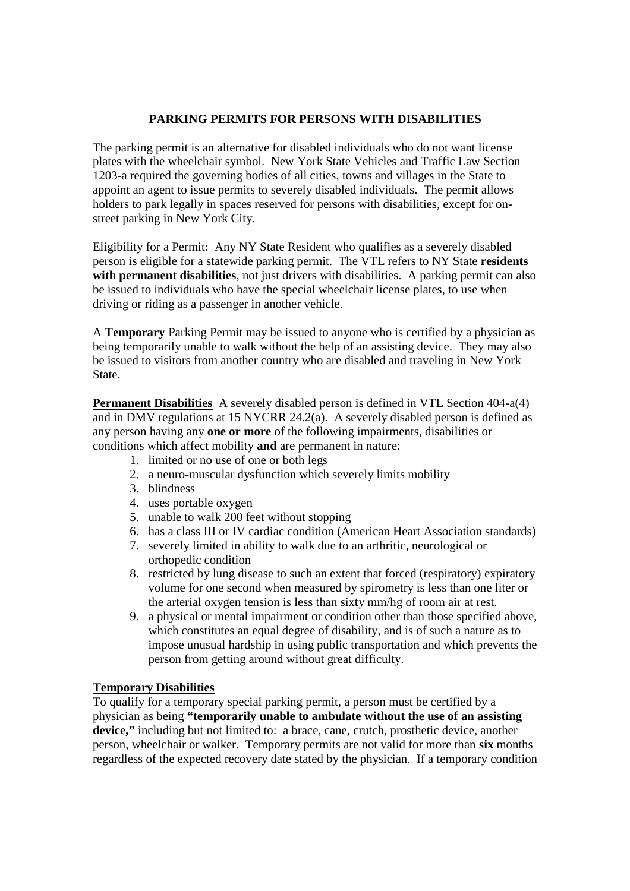## **PARKING PERMITS FOR PERSONS WITH DISABILITIES**

The parking permit is an alternative for disabled individuals who do not want license plates with the wheelchair symbol. New York State Vehicles and Traffic Law Section 1203-a required the governing bodies of all cities, towns and villages in the State to appoint an agent to issue permits to severely disabled individuals. The permit allows holders to park legally in spaces reserved for persons with disabilities, except for onstreet parking in New York City.

Eligibility for a Permit: Any NY State Resident who qualifies as a severely disabled person is eligible for a statewide parking permit. The VTL refers to NY State **residents** with permanent disabilities, not just drivers with disabilities. A parking permit can also be issued to individuals who have the special wheelchair license plates, to use when driving or riding as a passenger in another vehicle.

A **Temporary** Parking Permit may be issued to anyone who is certified by a physician as being temporarily unable to walk without the help of an assisting device. They may also be issued to visitors from another country who are disabled and traveling in New York State.

**Permanent Disabilities** A severely disabled person is defined in VTL Section 404-a(4) and in DMV regulations at 15 NYCRR 24.2(a). A severely disabled person is defined as any person having any **one or more** of the following impairments, disabilities or conditions which affect mobility **and** are permanent in nature:

- 1. limited or no use of one or both legs
- 2. a neuro-muscular dysfunction which severely limits mobility
- 3. blindness
- 4. uses portable oxygen
- 5. unable to walk 200 feet without stopping
- 6. has a class III or IV cardiac condition (American Heart Association standards)
- 7. severely limited in ability to walk due to an arthritic, neurological or orthopedic condition
- 8. restricted by lung disease to such an extent that forced (respiratory) expiratory volume for one second when measured by spirometry is less than one liter or the arterial oxygen tension is less than sixty mm/hg of room air at rest.
- 9. a physical or mental impairment or condition other than those specified above, which constitutes an equal degree of disability, and is of such a nature as to impose unusual hardship in using public transportation and which prevents the person from getting around without great difficulty.

## **Temporary Disabilities**

To qualify for a temporary special parking permit, a person must be certified by a physician as being **"temporarily unable to ambulate without the use of an assisting device,"** including but not limited to: a brace, cane, crutch, prosthetic device, another person, wheelchair or walker. Temporary permits are not valid for more than **six** months regardless of the expected recovery date stated by the physician. If a temporary condition